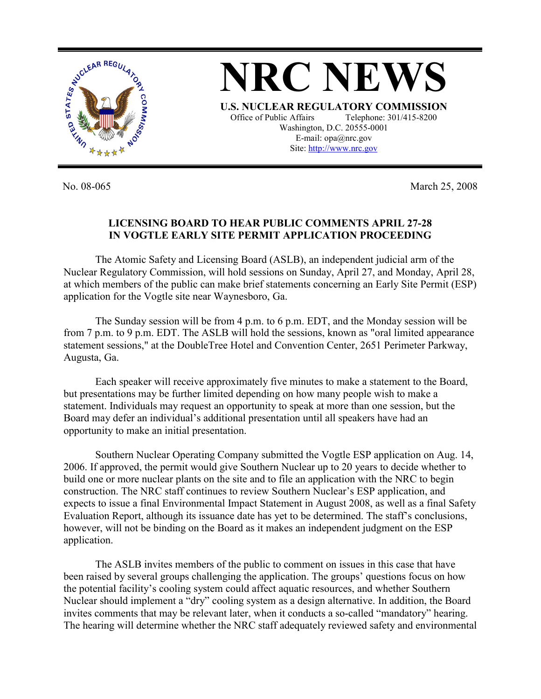

No. 08-065 March 25, 2008

## **LICENSING BOARD TO HEAR PUBLIC COMMENTS APRIL 27-28 IN VOGTLE EARLY SITE PERMIT APPLICATION PROCEEDING**

 The Atomic Safety and Licensing Board (ASLB), an independent judicial arm of the Nuclear Regulatory Commission, will hold sessions on Sunday, April 27, and Monday, April 28, at which members of the public can make brief statements concerning an Early Site Permit (ESP) application for the Vogtle site near Waynesboro, Ga.

The Sunday session will be from 4 p.m. to 6 p.m. EDT, and the Monday session will be from 7 p.m. to 9 p.m. EDT. The ASLB will hold the sessions, known as "oral limited appearance statement sessions," at the DoubleTree Hotel and Convention Center, 2651 Perimeter Parkway, Augusta, Ga.

Each speaker will receive approximately five minutes to make a statement to the Board, but presentations may be further limited depending on how many people wish to make a statement. Individuals may request an opportunity to speak at more than one session, but the Board may defer an individual's additional presentation until all speakers have had an opportunity to make an initial presentation.

Southern Nuclear Operating Company submitted the Vogtle ESP application on Aug. 14, 2006. If approved, the permit would give Southern Nuclear up to 20 years to decide whether to build one or more nuclear plants on the site and to file an application with the NRC to begin construction. The NRC staff continues to review Southern Nuclear's ESP application, and expects to issue a final Environmental Impact Statement in August 2008, as well as a final Safety Evaluation Report, although its issuance date has yet to be determined. The staff's conclusions, however, will not be binding on the Board as it makes an independent judgment on the ESP application.

The ASLB invites members of the public to comment on issues in this case that have been raised by several groups challenging the application. The groups' questions focus on how the potential facility's cooling system could affect aquatic resources, and whether Southern Nuclear should implement a "dry" cooling system as a design alternative. In addition, the Board invites comments that may be relevant later, when it conducts a so-called "mandatory" hearing. The hearing will determine whether the NRC staff adequately reviewed safety and environmental